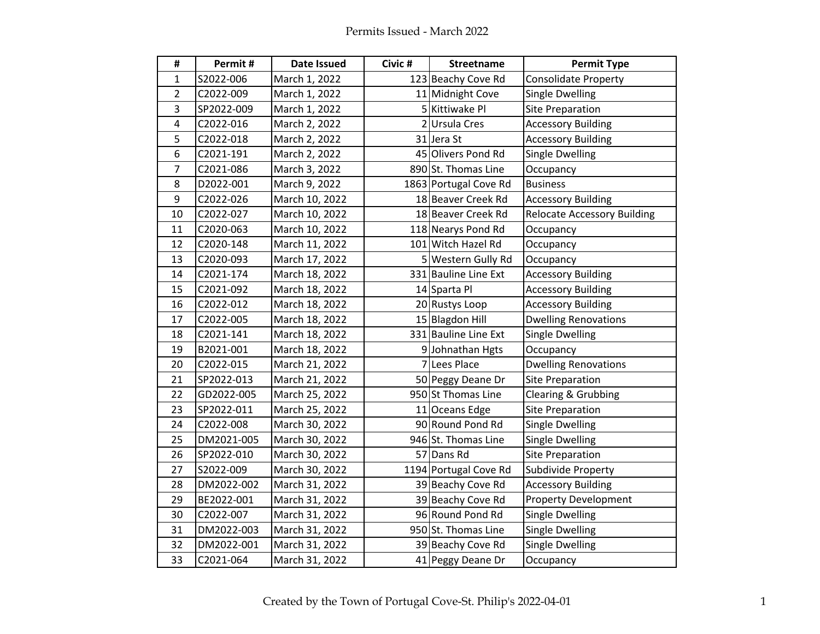| #              | Permit#    | Date Issued    | Civic # | <b>Streetname</b>     | <b>Permit Type</b>                 |
|----------------|------------|----------------|---------|-----------------------|------------------------------------|
| 1              | S2022-006  | March 1, 2022  |         | 123 Beachy Cove Rd    | Consolidate Property               |
| $\overline{2}$ | C2022-009  | March 1, 2022  |         | 11 Midnight Cove      | <b>Single Dwelling</b>             |
| 3              | SP2022-009 | March 1, 2022  |         | 5 Kittiwake Pl        | <b>Site Preparation</b>            |
| 4              | C2022-016  | March 2, 2022  |         | 2 Ursula Cres         | <b>Accessory Building</b>          |
| 5              | C2022-018  | March 2, 2022  |         | 31 Jera St            | <b>Accessory Building</b>          |
| 6              | C2021-191  | March 2, 2022  |         | 45 Olivers Pond Rd    | <b>Single Dwelling</b>             |
| $\overline{7}$ | C2021-086  | March 3, 2022  |         | 890 St. Thomas Line   | Occupancy                          |
| 8              | D2022-001  | March 9, 2022  |         | 1863 Portugal Cove Rd | <b>Business</b>                    |
| 9              | C2022-026  | March 10, 2022 |         | 18 Beaver Creek Rd    | <b>Accessory Building</b>          |
| 10             | C2022-027  | March 10, 2022 |         | 18 Beaver Creek Rd    | <b>Relocate Accessory Building</b> |
| 11             | C2020-063  | March 10, 2022 |         | 118 Nearys Pond Rd    | Occupancy                          |
| 12             | C2020-148  | March 11, 2022 |         | 101 Witch Hazel Rd    | Occupancy                          |
| 13             | C2020-093  | March 17, 2022 |         | 5 Western Gully Rd    | Occupancy                          |
| 14             | C2021-174  | March 18, 2022 |         | 331 Bauline Line Ext  | <b>Accessory Building</b>          |
| 15             | C2021-092  | March 18, 2022 |         | 14 Sparta Pl          | <b>Accessory Building</b>          |
| 16             | C2022-012  | March 18, 2022 |         | 20 Rustys Loop        | <b>Accessory Building</b>          |
| 17             | C2022-005  | March 18, 2022 |         | 15 Blagdon Hill       | <b>Dwelling Renovations</b>        |
| 18             | C2021-141  | March 18, 2022 |         | 331 Bauline Line Ext  | Single Dwelling                    |
| 19             | B2021-001  | March 18, 2022 |         | 9 Johnathan Hgts      | Occupancy                          |
| 20             | C2022-015  | March 21, 2022 |         | 7 Lees Place          | <b>Dwelling Renovations</b>        |
| 21             | SP2022-013 | March 21, 2022 |         | 50 Peggy Deane Dr     | <b>Site Preparation</b>            |
| 22             | GD2022-005 | March 25, 2022 |         | 950 St Thomas Line    | Clearing & Grubbing                |
| 23             | SP2022-011 | March 25, 2022 |         | 11 Oceans Edge        | <b>Site Preparation</b>            |
| 24             | C2022-008  | March 30, 2022 |         | 90 Round Pond Rd      | Single Dwelling                    |
| 25             | DM2021-005 | March 30, 2022 |         | 946 St. Thomas Line   | <b>Single Dwelling</b>             |
| 26             | SP2022-010 | March 30, 2022 |         | 57 Dans Rd            | <b>Site Preparation</b>            |
| 27             | S2022-009  | March 30, 2022 |         | 1194 Portugal Cove Rd | Subdivide Property                 |
| 28             | DM2022-002 | March 31, 2022 |         | 39 Beachy Cove Rd     | <b>Accessory Building</b>          |
| 29             | BE2022-001 | March 31, 2022 |         | 39 Beachy Cove Rd     | <b>Property Development</b>        |
| 30             | C2022-007  | March 31, 2022 |         | 96 Round Pond Rd      | <b>Single Dwelling</b>             |
| 31             | DM2022-003 | March 31, 2022 |         | 950 St. Thomas Line   | <b>Single Dwelling</b>             |
| 32             | DM2022-001 | March 31, 2022 |         | 39 Beachy Cove Rd     | <b>Single Dwelling</b>             |
| 33             | C2021-064  | March 31, 2022 |         | 41 Peggy Deane Dr     | Occupancy                          |